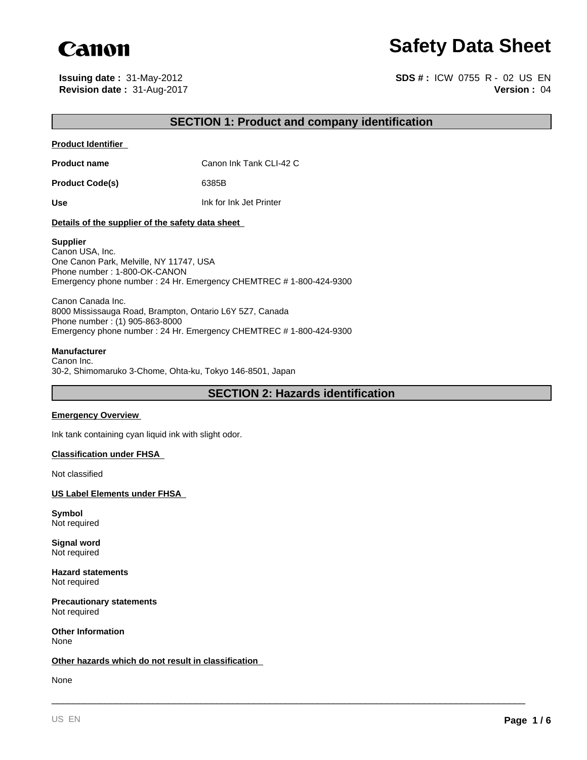

# **Safety Data Sheet**

**Revision date :** 31-Aug-2017 **Issuing date :** 31-May-2012

**Version :** 04 **SDS # :** ICW 0755 R - 02 US EN

## **SECTION 1: Product and company identification**

#### **Product Identifier**

**Product name** Canon Ink Tank CLI-42 C

Product Code(s) 6385B

**Use** Ink for Ink Jet Printer

#### **Details of the supplier of the safety data sheet**

#### **Supplier**

Canon USA, Inc. One Canon Park, Melville, NY 11747, USA Phone number : 1-800-OK-CANON Emergency phone number : 24 Hr. Emergency CHEMTREC # 1-800-424-9300

Canon Canada Inc. 8000 Mississauga Road, Brampton, Ontario L6Y 5Z7, Canada Phone number : (1) 905-863-8000 Emergency phone number : 24 Hr. Emergency CHEMTREC # 1-800-424-9300

#### **Manufacturer**

Canon Inc. 30-2, Shimomaruko 3-Chome, Ohta-ku, Tokyo 146-8501, Japan

**SECTION 2: Hazards identification**

\_\_\_\_\_\_\_\_\_\_\_\_\_\_\_\_\_\_\_\_\_\_\_\_\_\_\_\_\_\_\_\_\_\_\_\_\_\_\_\_\_\_\_\_\_\_\_\_\_\_\_\_\_\_\_\_\_\_\_\_\_\_\_\_\_\_\_\_\_\_\_\_\_\_\_\_\_\_\_\_\_\_\_\_\_\_\_\_\_

#### **Emergency Overview**

Ink tank containing cyan liquid ink with slight odor.

#### **Classification under FHSA**

Not classified

**US Label Elements under FHSA** 

**Symbol** Not required

**Signal word** Not required

**Hazard statements** Not required

**Precautionary statements** Not required

**Other Information** None

#### **Other hazards which do not result in classification**

None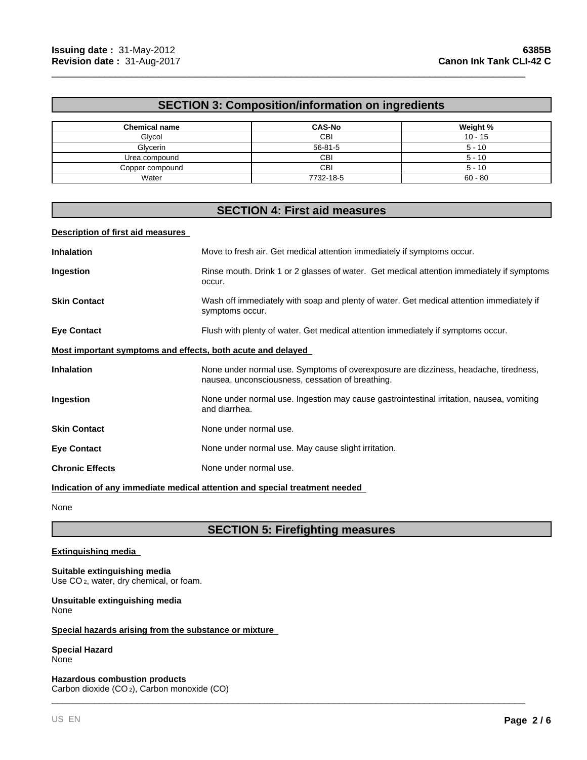## **SECTION 3: Composition/information on ingredients**

\_\_\_\_\_\_\_\_\_\_\_\_\_\_\_\_\_\_\_\_\_\_\_\_\_\_\_\_\_\_\_\_\_\_\_\_\_\_\_\_\_\_\_\_\_\_\_\_\_\_\_\_\_\_\_\_\_\_\_\_\_\_\_\_\_\_\_\_\_\_\_\_\_\_\_\_\_\_\_\_\_\_\_\_\_\_\_\_\_

| <b>Chemical name</b> | <b>CAS-No</b> | Weight %  |
|----------------------|---------------|-----------|
| Glycol               | CBI           | $10 - 15$ |
| Glycerin             | $56 - 81 - 5$ | $5 - 10$  |
| Urea compound        | CBI           | $5 - 10$  |
| Copper compound      | CBI           | $5 - 10$  |
| Water                | 7732-18-5     | $60 - 80$ |

# **SECTION 4: First aid measures**

#### **Description of first aid measures**

| <b>Inhalation</b>                                                          | Move to fresh air. Get medical attention immediately if symptoms occur.                                                                 |  |
|----------------------------------------------------------------------------|-----------------------------------------------------------------------------------------------------------------------------------------|--|
| Ingestion                                                                  | Rinse mouth. Drink 1 or 2 glasses of water. Get medical attention immediately if symptoms<br>occur.                                     |  |
| <b>Skin Contact</b>                                                        | Wash off immediately with soap and plenty of water. Get medical attention immediately if<br>symptoms occur.                             |  |
| <b>Eye Contact</b>                                                         | Flush with plenty of water. Get medical attention immediately if symptoms occur.                                                        |  |
| Most important symptoms and effects, both acute and delayed                |                                                                                                                                         |  |
| <b>Inhalation</b>                                                          | None under normal use. Symptoms of overexposure are dizziness, headache, tiredness,<br>nausea, unconsciousness, cessation of breathing. |  |
| Ingestion                                                                  | None under normal use. Ingestion may cause gastrointestinal irritation, nausea, vomiting<br>and diarrhea.                               |  |
| <b>Skin Contact</b>                                                        | None under normal use.                                                                                                                  |  |
| <b>Eye Contact</b>                                                         | None under normal use. May cause slight irritation.                                                                                     |  |
| <b>Chronic Effects</b>                                                     | None under normal use.                                                                                                                  |  |
| Indication of any immediate medical attention and special treatment needed |                                                                                                                                         |  |

None

# **SECTION 5: Firefighting measures**

\_\_\_\_\_\_\_\_\_\_\_\_\_\_\_\_\_\_\_\_\_\_\_\_\_\_\_\_\_\_\_\_\_\_\_\_\_\_\_\_\_\_\_\_\_\_\_\_\_\_\_\_\_\_\_\_\_\_\_\_\_\_\_\_\_\_\_\_\_\_\_\_\_\_\_\_\_\_\_\_\_\_\_\_\_\_\_\_\_

#### **Extinguishing media**

#### **Suitable extinguishing media**

Use CO<sub>2</sub>, water, dry chemical, or foam.

**Unsuitable extinguishing media** None

#### **Special hazards arising from the substance or mixture**

#### **Special Hazard** None

**Hazardous combustion products** Carbon dioxide (CO 2), Carbon monoxide (CO)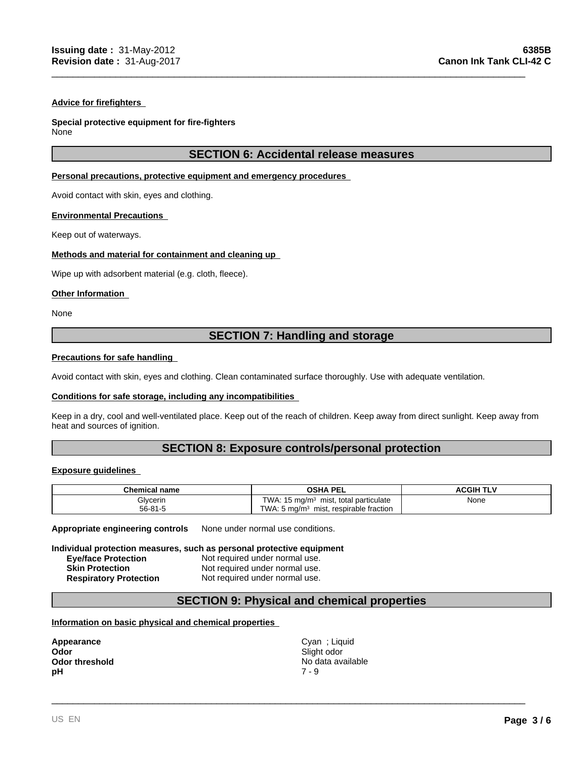#### **Advice for firefighters**

#### **Special protective equipment for fire-fighters**

None

## **SECTION 6: Accidental release measures**

\_\_\_\_\_\_\_\_\_\_\_\_\_\_\_\_\_\_\_\_\_\_\_\_\_\_\_\_\_\_\_\_\_\_\_\_\_\_\_\_\_\_\_\_\_\_\_\_\_\_\_\_\_\_\_\_\_\_\_\_\_\_\_\_\_\_\_\_\_\_\_\_\_\_\_\_\_\_\_\_\_\_\_\_\_\_\_\_\_

#### **Personal precautions, protective equipment and emergency procedures**

Avoid contact with skin, eyes and clothing.

#### **Environmental Precautions**

Keep out of waterways.

#### **Methods and material for containment and cleaning up**

Wipe up with adsorbent material (e.g. cloth, fleece).

#### **Other Information**

None

## **SECTION 7: Handling and storage**

#### **Precautions for safe handling**

Avoid contact with skin, eyes and clothing. Clean contaminated surface thoroughly. Use with adequate ventilation.

#### **Conditions for safe storage, including any incompatibilities**

Keep in a dry, cool and well-ventilated place. Keep out of the reach of children. Keep away from direct sunlight. Keep away from heat and sources of ignition.

## **SECTION 8: Exposure controls/personal protection**

#### **Exposure guidelines**

| <b>Chemical name</b> | <b>OSHA PEL</b>                                              | ACGIH TI <sup>v</sup> |  |
|----------------------|--------------------------------------------------------------|-----------------------|--|
| Glycerin             | TWA.<br>, total particulate<br>15 mg/m <sup>3</sup><br>mist, | None<br>$\sim$ $\sim$ |  |
| $56 - 81 - 5$        | TWA.<br>respirable fraction<br>. 5 ma/m $3$<br>mist,         |                       |  |

**Appropriate engineering controls** None under normal use conditions.

#### **Individual protection measures, such as personal protective equipment**

| <b>Eye/face Protection</b>    | Not required under normal use. |
|-------------------------------|--------------------------------|
| <b>Skin Protection</b>        | Not required under normal use. |
| <b>Respiratory Protection</b> | Not required under normal use. |

## **SECTION 9: Physical and chemical properties**

#### **Information on basic physical and chemical properties**

| Appearance            |  |
|-----------------------|--|
| Odor                  |  |
| <b>Odor threshold</b> |  |
| рH                    |  |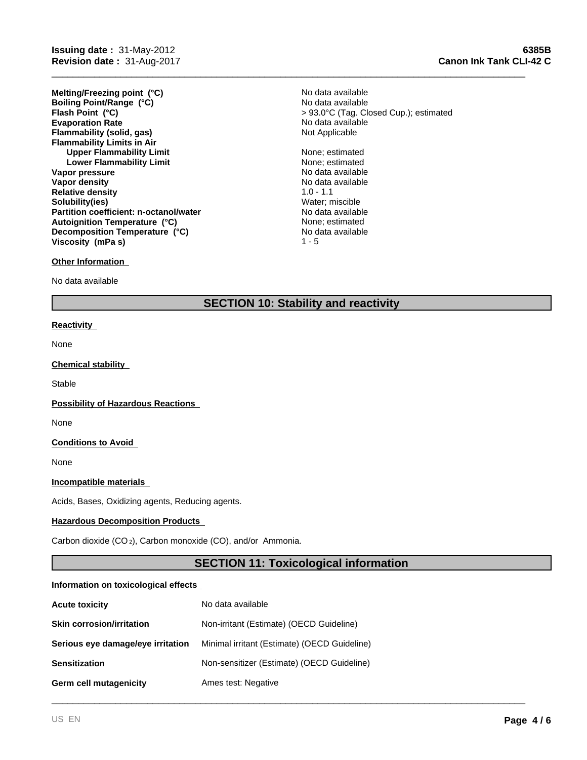**Evaporation Rate Example 2018** No data available<br> **Elammability (solid, gas)** Not Applicable **Notice Applicable Flammability (solid, gas) Flammability Limits in Air Upper Flammability Limit** None; estimated **Lower Flammability Limit** None; estimated **Vapor pressure** No data available No data available **Vapor density No data available No data available Relative density** 1.0 - 1.1 **Solubility(ies)** Water; miscible **Partition coefficient: n-octanol/water** No data available<br> **Autoignition Temperature (°C)** None: estimated **Melting/Freezing point (°C) Autoignition Temperature (°C) Decomposition Temperature (°C) Boiling Point/Range (°C) Viscosity (mPa s)**

#### **Other Information**

No data available

## **SECTION 10: Stability and reactivity**

#### **Reactivity**

None

#### **Chemical stability**

**Stable** 

#### **Possibility of Hazardous Reactions**

None

#### **Conditions to Avoid**

None

#### **Incompatible materials**

Acids, Bases, Oxidizing agents, Reducing agents.

#### **Hazardous Decomposition Products**

Carbon dioxide (CO 2), Carbon monoxide (CO), and/or Ammonia.

## **SECTION 11: Toxicological information**

\_\_\_\_\_\_\_\_\_\_\_\_\_\_\_\_\_\_\_\_\_\_\_\_\_\_\_\_\_\_\_\_\_\_\_\_\_\_\_\_\_\_\_\_\_\_\_\_\_\_\_\_\_\_\_\_\_\_\_\_\_\_\_\_\_\_\_\_\_\_\_\_\_\_\_\_\_\_\_\_\_\_\_\_\_\_\_\_\_

#### **Information on toxicological effects**

| <b>Acute toxicity</b>             | No data available                            |
|-----------------------------------|----------------------------------------------|
| <b>Skin corrosion/irritation</b>  | Non-irritant (Estimate) (OECD Guideline)     |
| Serious eye damage/eye irritation | Minimal irritant (Estimate) (OECD Guideline) |
| <b>Sensitization</b>              | Non-sensitizer (Estimate) (OECD Guideline)   |
| Germ cell mutagenicity            | Ames test: Negative                          |

No data available **Flash Point (°C)** > 93.0°C (Tag. Closed Cup.); estimated No data available

> No data available  $1 - 5$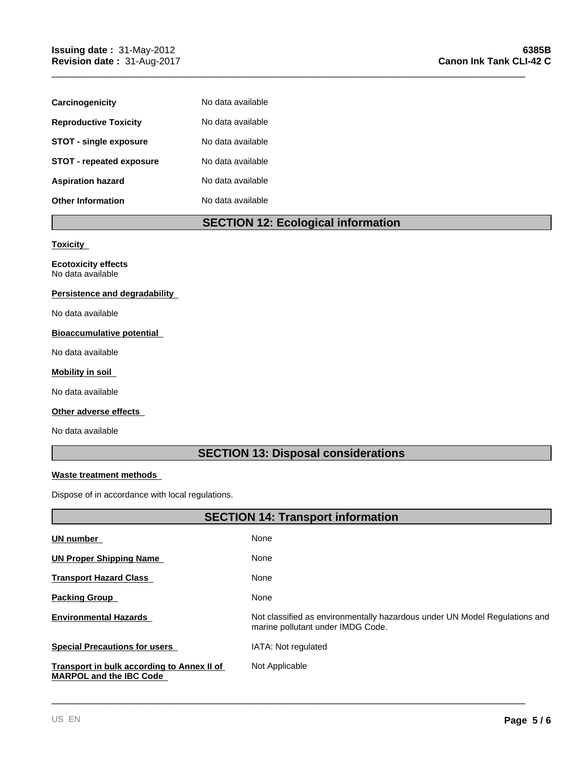| Carcinogenicity                 | No data available |
|---------------------------------|-------------------|
| <b>Reproductive Toxicity</b>    | No data available |
| <b>STOT - single exposure</b>   | No data available |
| <b>STOT - repeated exposure</b> | No data available |
| <b>Aspiration hazard</b>        | No data available |
| <b>Other Information</b>        | No data available |

# **SECTION 12: Ecological information**

\_\_\_\_\_\_\_\_\_\_\_\_\_\_\_\_\_\_\_\_\_\_\_\_\_\_\_\_\_\_\_\_\_\_\_\_\_\_\_\_\_\_\_\_\_\_\_\_\_\_\_\_\_\_\_\_\_\_\_\_\_\_\_\_\_\_\_\_\_\_\_\_\_\_\_\_\_\_\_\_\_\_\_\_\_\_\_\_\_

#### **Toxicity**

**Ecotoxicity effects** No data available

#### **Persistence and degradability**

No data available

## **Bioaccumulative potential**

No data available

#### **Mobility in soil**

No data available

## **Other adverse effects**

No data available

**UN number** 

# **SECTION 13: Disposal considerations**

#### **Waste treatment methods**

**MARPOL and the IBC Code** 

Dispose of in accordance with local regulations.

## **SECTION 14: Transport information** None **UN Proper Shipping Name**  None **Transport Hazard Class**  None

| <b>Packing Group</b>                              | None                                                                                                            |
|---------------------------------------------------|-----------------------------------------------------------------------------------------------------------------|
| <b>Environmental Hazards</b>                      | Not classified as environmentally hazardous under UN Model Regulations and<br>marine pollutant under IMDG Code. |
| <b>Special Precautions for users</b>              | IATA: Not regulated                                                                                             |
| <b>Transport in bulk according to Annex II of</b> | Not Applicable                                                                                                  |